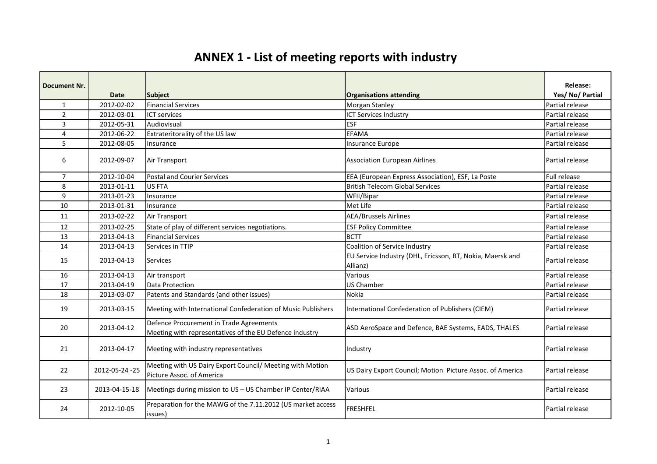## **ANNEX 1 - List of meeting reports with industry**

| <b>Document Nr.</b> |                |                                                                                                    |                                                           | <b>Release:</b> |
|---------------------|----------------|----------------------------------------------------------------------------------------------------|-----------------------------------------------------------|-----------------|
|                     | <b>Date</b>    | <b>Subject</b>                                                                                     | <b>Organisations attending</b>                            | Yes/No/Partial  |
| $\mathbf{1}$        | 2012-02-02     | <b>Financial Services</b>                                                                          | Morgan Stanley                                            | Partial release |
| $\overline{2}$      | 2012-03-01     | <b>ICT services</b>                                                                                | <b>ICT Services Industry</b>                              | Partial release |
| $\overline{3}$      | 2012-05-31     | Audiovisual                                                                                        | <b>ESF</b>                                                | Partial release |
| 4                   | 2012-06-22     | Extrateritorality of the US law                                                                    | <b>EFAMA</b>                                              | Partial release |
| 5                   | 2012-08-05     | Insurance                                                                                          | <b>Insurance Europe</b>                                   | Partial release |
| 6                   | 2012-09-07     | Air Transport                                                                                      | <b>Association European Airlines</b>                      | Partial release |
| $\overline{7}$      | 2012-10-04     | Postal and Courier Services                                                                        | EEA (European Express Association), ESF, La Poste         | Full release    |
| 8                   | 2013-01-11     | US FTA                                                                                             | <b>British Telecom Global Services</b>                    | Partial release |
| 9                   | 2013-01-23     | Insurance                                                                                          | WFII/Bipar                                                | Partial release |
| 10                  | 2013-01-31     | Insurance                                                                                          | Met Life                                                  | Partial release |
| 11                  | 2013-02-22     | Air Transport                                                                                      | <b>AEA/Brussels Airlines</b>                              | Partial release |
| 12                  | 2013-02-25     | State of play of different services negotiations.                                                  | <b>ESF Policy Committee</b>                               | Partial release |
| 13                  | 2013-04-13     | <b>Financial Services</b>                                                                          | <b>BCTT</b>                                               | Partial release |
| 14                  | 2013-04-13     | Services in TTIP                                                                                   | Coalition of Service Industry                             | Partial release |
| 15                  | 2013-04-13     | <b>Services</b>                                                                                    | EU Service Industry (DHL, Ericsson, BT, Nokia, Maersk and | Partial release |
|                     |                |                                                                                                    | Allianz)                                                  |                 |
| 16                  | 2013-04-13     | Air transport                                                                                      | Various                                                   | Partial release |
| 17                  | 2013-04-19     | Data Protection                                                                                    | <b>US Chamber</b>                                         | Partial release |
| 18                  | 2013-03-07     | Patents and Standards (and other issues)                                                           | <b>Nokia</b>                                              | Partial release |
| 19                  | 2013-03-15     | Meeting with International Confederation of Music Publishers                                       | International Confederation of Publishers (CIEM)          | Partial release |
| 20                  | 2013-04-12     | Defence Procurement in Trade Agreements<br>Meeting with representatives of the EU Defence industry | ASD AeroSpace and Defence, BAE Systems, EADS, THALES      | Partial release |
| 21                  | 2013-04-17     | Meeting with industry representatives                                                              | Industry                                                  | Partial release |
| 22                  | 2012-05-24 -25 | Meeting with US Dairy Export Council/ Meeting with Motion<br>Picture Assoc. of America             | US Dairy Export Council; Motion Picture Assoc. of America | Partial release |
| 23                  | 2013-04-15-18  | Meetings during mission to US - US Chamber IP Center/RIAA                                          | Various                                                   | Partial release |
| 24                  | 2012-10-05     | Preparation for the MAWG of the 7.11.2012 (US market access<br>issues)                             | FRESHFEL                                                  | Partial release |